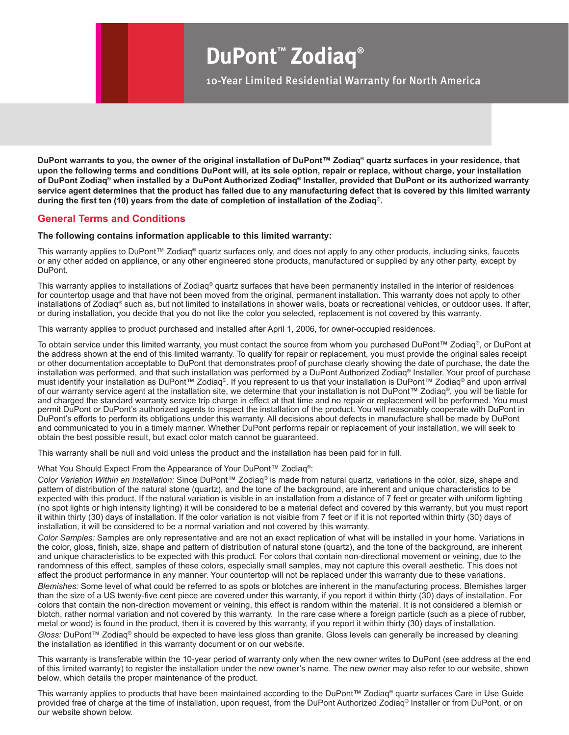## **DuPont™ Zodiaq®**

10-Year Limited Residential Warranty for North America

**DuPont warrants to you, the owner of the original installation of DuPont™ Zodiaq® quartz surfaces in your residence, that upon the following terms and conditions DuPont will, at its sole option, repair or replace, without charge, your installation of DuPont Zodiaq® when installed by a DuPont Authorized Zodiaq® Installer, provided that DuPont or its authorized warranty service agent determines that the product has failed due to any manufacturing defect that is covered by this limited warranty during the first ten (10) years from the date of completion of installation of the Zodiaq®.** 

## **General Terms and Conditions**

## **The following contains information applicable to this limited warranty:**

This warranty applies to DuPont™ Zodiaq® quartz surfaces only, and does not apply to any other products, including sinks, faucets or any other added on appliance, or any other engineered stone products, manufactured or supplied by any other party, except by DuPont.

This warranty applies to installations of Zodiaq® quartz surfaces that have been permanently installed in the interior of residences for countertop usage and that have not been moved from the original, permanent installation. This warranty does not apply to other installations of Zodiaq® such as, but not limited to installations in shower walls, boats or recreational vehicles, or outdoor uses. If after, or during installation, you decide that you do not like the color you selected, replacement is not covered by this warranty.

This warranty applies to product purchased and installed after April 1, 2006, for owner-occupied residences.

To obtain service under this limited warranty, you must contact the source from whom you purchased DuPont™ Zodiaq®, or DuPont at the address shown at the end of this limited warranty. To qualify for repair or replacement, you must provide the original sales receipt or other documentation acceptable to DuPont that demonstrates proof of purchase clearly showing the date of purchase, the date the installation was performed, and that such installation was performed by a DuPont Authorized Zodiaq® Installer. Your proof of purchase must identify your installation as DuPont™ Zodiaq®. If you represent to us that your installation is DuPont™ Zodiaq® and upon arrival of our warranty service agent at the installation site, we determine that your installation is not DuPont™ Zodiaq®, you will be liable for and charged the standard warranty service trip charge in effect at that time and no repair or replacement will be performed. You must permit DuPont or DuPont's authorized agents to inspect the installation of the product. You will reasonably cooperate with DuPont in DuPont's efforts to perform its obligations under this warranty. All decisions about defects in manufacture shall be made by DuPont and communicated to you in a timely manner. Whether DuPont performs repair or replacement of your installation, we will seek to obtain the best possible result, but exact color match cannot be guaranteed.

This warranty shall be null and void unless the product and the installation has been paid for in full.

What You Should Expect From the Appearance of Your DuPont™ Zodiaq®:

*Color Variation Within an Installation:* Since DuPont™ Zodiaq® is made from natural quartz, variations in the color, size, shape and pattern of distribution of the natural stone (quartz), and the tone of the background, are inherent and unique characteristics to be expected with this product. If the natural variation is visible in an installation from a distance of 7 feet or greater with uniform lighting (no spot lights or high intensity lighting) it will be considered to be a material defect and covered by this warranty, but you must report it within thirty (30) days of installation. If the color variation is not visible from 7 feet or if it is not reported within thirty (30) days of installation, it will be considered to be a normal variation and not covered by this warranty.

*Color Samples:* Samples are only representative and are not an exact replication of what will be installed in your home. Variations in the color, gloss, finish, size, shape and pattern of distribution of natural stone (quartz), and the tone of the background, are inherent and unique characteristics to be expected with this product. For colors that contain non-directional movement or veining, due to the randomness of this effect, samples of these colors, especially small samples, may not capture this overall aesthetic. This does not affect the product performance in any manner. Your countertop will not be replaced under this warranty due to these variations.

*Blemishes:* Some level of what could be referred to as spots or blotches are inherent in the manufacturing process. Blemishes larger than the size of a US twenty-five cent piece are covered under this warranty, if you report it within thirty (30) days of installation. For colors that contain the non-direction movement or veining, this effect is random within the material. It is not considered a blemish or blotch, rather normal variation and not covered by this warranty. In the rare case where a foreign particle (such as a piece of rubber, metal or wood) is found in the product, then it is covered by this warranty, if you report it within thirty (30) days of installation.

*Gloss:* DuPont™ Zodiaq® should be expected to have less gloss than granite. Gloss levels can generally be increased by cleaning the installation as identified in this warranty document or on our website.

This warranty is transferable within the 10-year period of warranty only when the new owner writes to DuPont (see address at the end of this limited warranty) to register the installation under the new owner's name. The new owner may also refer to our website, shown below, which details the proper maintenance of the product.

This warranty applies to products that have been maintained according to the DuPont™ Zodiaq® quartz surfaces Care in Use Guide provided free of charge at the time of installation, upon request, from the DuPont Authorized Zodiaq® Installer or from DuPont, or on our website shown below.